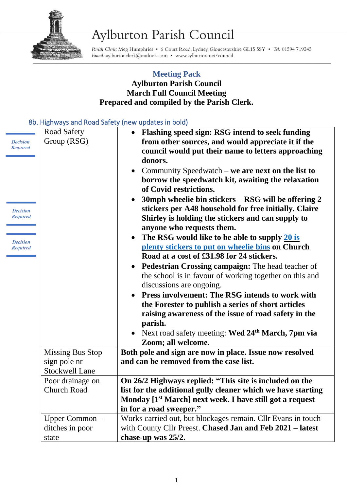

## Aylburton Parish Council

Parish Clerk: Meg Humphries . 6 Court Road, Lydney, Gloucestershire GL15 5SY . Tel: 01594 719245 Email: aylburtonclerk@outlook.com • www.aylburton.net/council

## **Meeting Pack Aylburton Parish Council March Full Council Meeting Prepared and compiled by the Parish Clerk.**

## 8b. Highways and Road Safety (new updates in bold)

|                                    | 1151111413241114110443341017                                     | THEM apaates in point                                                                                                                                                                                                                                                                                                       |
|------------------------------------|------------------------------------------------------------------|-----------------------------------------------------------------------------------------------------------------------------------------------------------------------------------------------------------------------------------------------------------------------------------------------------------------------------|
| <b>Decision</b><br><b>Required</b> | Road Safety<br>Group (RSG)                                       | • Flashing speed sign: RSG intend to seek funding<br>from other sources, and would appreciate it if the<br>council would put their name to letters approaching<br>donors.<br>Community Speedwatch – we are next on the list to<br>$\bullet$<br>borrow the speedwatch kit, awaiting the relaxation<br>of Covid restrictions. |
| <b>Decision</b><br><b>Required</b> |                                                                  | 30mph wheelie bin stickers – RSG will be offering 2<br>$\bullet$<br>stickers per A48 household for free initially. Claire<br>Shirley is holding the stickers and can supply to<br>anyone who requests them.                                                                                                                 |
| <b>Decision</b><br><b>Required</b> |                                                                  | The RSG would like to be able to supply 20 is<br>$\bullet$<br>plenty stickers to put on wheelie bins on Church<br>Road at a cost of £31.98 for 24 stickers.                                                                                                                                                                 |
|                                    |                                                                  | <b>Pedestrian Crossing campaign: The head teacher of</b><br>$\bullet$<br>the school is in favour of working together on this and<br>discussions are ongoing.                                                                                                                                                                |
|                                    |                                                                  | Press involvement: The RSG intends to work with<br>the Forester to publish a series of short articles<br>raising awareness of the issue of road safety in the<br>parish.                                                                                                                                                    |
|                                    |                                                                  | • Next road safety meeting: Wed 24 <sup>th</sup> March, 7pm via<br>Zoom; all welcome.                                                                                                                                                                                                                                       |
|                                    | <b>Missing Bus Stop</b><br>sign pole nr<br><b>Stockwell Lane</b> | Both pole and sign are now in place. Issue now resolved<br>and can be removed from the case list.                                                                                                                                                                                                                           |
|                                    | Poor drainage on<br><b>Church Road</b>                           | On 26/2 Highways replied: "This site is included on the<br>list for the additional gully cleaner which we have starting<br>Monday [1 <sup>st</sup> March] next week. I have still got a request<br>in for a road sweeper."                                                                                                  |
|                                    | Upper Common-<br>ditches in poor<br>state                        | Works carried out, but blockages remain. Cllr Evans in touch<br>with County Cllr Preest. Chased Jan and Feb 2021 - latest<br>chase-up was 25/2.                                                                                                                                                                             |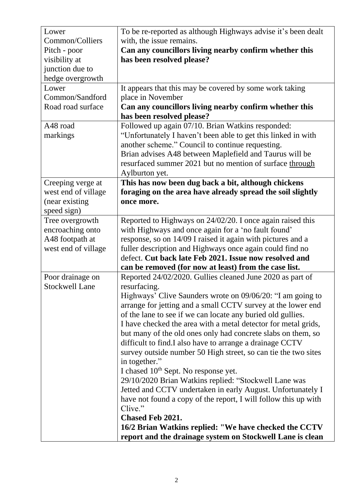| Lower                 | To be re-reported as although Highways advise it's been dealt   |
|-----------------------|-----------------------------------------------------------------|
| Common/Colliers       | with, the issue remains.                                        |
| Pitch - poor          | Can any councillors living nearby confirm whether this          |
| visibility at         | has been resolved please?                                       |
| junction due to       |                                                                 |
| hedge overgrowth      |                                                                 |
| Lower                 | It appears that this may be covered by some work taking         |
| Common/Sandford       | place in November                                               |
| Road road surface     | Can any councillors living nearby confirm whether this          |
|                       | has been resolved please?                                       |
| A48 road              | Followed up again 07/10. Brian Watkins responded:               |
| markings              | "Unfortunately I haven't been able to get this linked in with   |
|                       | another scheme." Council to continue requesting.                |
|                       | Brian advises A48 between Maplefield and Taurus will be         |
|                       | resurfaced summer 2021 but no mention of surface through        |
|                       | Aylburton yet.                                                  |
| Creeping verge at     | This has now been dug back a bit, although chickens             |
| west end of village   | foraging on the area have already spread the soil slightly      |
| (near existing        | once more.                                                      |
| speed sign)           |                                                                 |
| Tree overgrowth       | Reported to Highways on 24/02/20. I once again raised this      |
| encroaching onto      | with Highways and once again for a 'no fault found'             |
| A48 footpath at       | response, so on 14/09 I raised it again with pictures and a     |
| west end of village   | fuller description and Highways once again could find no        |
|                       | defect. Cut back late Feb 2021. Issue now resolved and          |
|                       | can be removed (for now at least) from the case list.           |
| Poor drainage on      | Reported 24/02/2020. Gullies cleaned June 2020 as part of       |
| <b>Stockwell Lane</b> | resurfacing.                                                    |
|                       | Highways' Clive Saunders wrote on 09/06/20: "I am going to      |
|                       | arrange for jetting and a small CCTV survey at the lower end    |
|                       | of the lane to see if we can locate any buried old gullies.     |
|                       | I have checked the area with a metal detector for metal grids,  |
|                       | but many of the old ones only had concrete slabs on them, so    |
|                       | difficult to find. I also have to arrange a drainage CCTV       |
|                       | survey outside number 50 High street, so can tie the two sites  |
|                       | in together."                                                   |
|                       | I chased 10 <sup>th</sup> Sept. No response yet.                |
|                       | 29/10/2020 Brian Watkins replied: "Stockwell Lane was           |
|                       | Jetted and CCTV undertaken in early August. Unfortunately I     |
|                       | have not found a copy of the report, I will follow this up with |
|                       | Clive."                                                         |
|                       | <b>Chased Feb 2021.</b>                                         |
|                       | 16/2 Brian Watkins replied: "We have checked the CCTV           |
|                       | report and the drainage system on Stockwell Lane is clean       |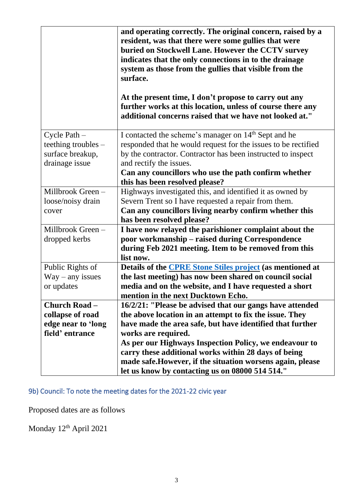|                      | and operating correctly. The original concern, raised by a<br>resident, was that there were some gullies that were<br>buried on Stockwell Lane. However the CCTV survey<br>indicates that the only connections in to the drainage<br>system as those from the gullies that visible from the<br>surface.<br>At the present time, I don't propose to carry out any<br>further works at this location, unless of course there any<br>additional concerns raised that we have not looked at." |
|----------------------|-------------------------------------------------------------------------------------------------------------------------------------------------------------------------------------------------------------------------------------------------------------------------------------------------------------------------------------------------------------------------------------------------------------------------------------------------------------------------------------------|
| Cycle Path $-$       | I contacted the scheme's manager on 14 <sup>th</sup> Sept and he                                                                                                                                                                                                                                                                                                                                                                                                                          |
| teething troubles -  | responded that he would request for the issues to be rectified                                                                                                                                                                                                                                                                                                                                                                                                                            |
| surface breakup,     | by the contractor. Contractor has been instructed to inspect                                                                                                                                                                                                                                                                                                                                                                                                                              |
| drainage issue       | and rectify the issues.                                                                                                                                                                                                                                                                                                                                                                                                                                                                   |
|                      | Can any councillors who use the path confirm whether                                                                                                                                                                                                                                                                                                                                                                                                                                      |
|                      | this has been resolved please?                                                                                                                                                                                                                                                                                                                                                                                                                                                            |
| Millbrook Green-     | Highways investigated this, and identified it as owned by                                                                                                                                                                                                                                                                                                                                                                                                                                 |
| loose/noisy drain    | Severn Trent so I have requested a repair from them.                                                                                                                                                                                                                                                                                                                                                                                                                                      |
| cover                | Can any councillors living nearby confirm whether this                                                                                                                                                                                                                                                                                                                                                                                                                                    |
|                      | has been resolved please?                                                                                                                                                                                                                                                                                                                                                                                                                                                                 |
| Millbrook Green-     | I have now relayed the parishioner complaint about the                                                                                                                                                                                                                                                                                                                                                                                                                                    |
| dropped kerbs        | poor workmanship – raised during Correspondence                                                                                                                                                                                                                                                                                                                                                                                                                                           |
|                      | during Feb 2021 meeting. Item to be removed from this                                                                                                                                                                                                                                                                                                                                                                                                                                     |
|                      | list now.                                                                                                                                                                                                                                                                                                                                                                                                                                                                                 |
| Public Rights of     | Details of the <b>CPRE</b> Stone Stiles project (as mentioned at                                                                                                                                                                                                                                                                                                                                                                                                                          |
| $Way - any issues$   | the last meeting) has now been shared on council social                                                                                                                                                                                                                                                                                                                                                                                                                                   |
| or updates           | media and on the website, and I have requested a short                                                                                                                                                                                                                                                                                                                                                                                                                                    |
| <b>Church Road -</b> | mention in the next Ducktown Echo.                                                                                                                                                                                                                                                                                                                                                                                                                                                        |
| collapse of road     | 16/2/21: "Please be advised that our gangs have attended<br>the above location in an attempt to fix the issue. They                                                                                                                                                                                                                                                                                                                                                                       |
| edge near to 'long   | have made the area safe, but have identified that further                                                                                                                                                                                                                                                                                                                                                                                                                                 |
| field' entrance      | works are required.                                                                                                                                                                                                                                                                                                                                                                                                                                                                       |
|                      | As per our Highways Inspection Policy, we endeavour to                                                                                                                                                                                                                                                                                                                                                                                                                                    |
|                      | carry these additional works within 28 days of being                                                                                                                                                                                                                                                                                                                                                                                                                                      |
|                      | made safe. However, if the situation worsens again, please                                                                                                                                                                                                                                                                                                                                                                                                                                |
|                      | let us know by contacting us on 08000 514 514."                                                                                                                                                                                                                                                                                                                                                                                                                                           |

9b) Council: To note the meeting dates for the 2021-22 civic year

Proposed dates are as follows

Monday 12<sup>th</sup> April 2021